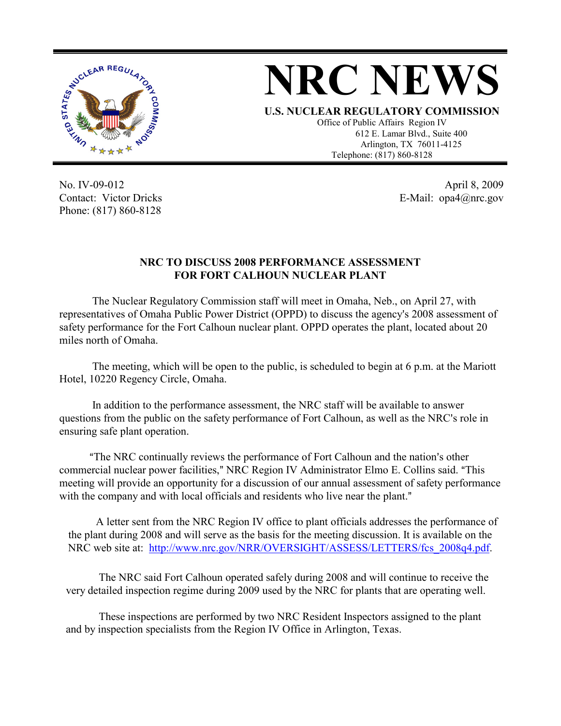

## **NRC NEWS**

**U.S. NUCLEAR REGULATORY COMMISSION** Office of Public Affairs Region IV

612 E. Lamar Blvd., Suite 400 Arlington, TX 76011-4125 Telephone: (817) 860-8128

No. IV-09-012 Contact: Victor Dricks Phone: (817) 860-8128

April 8, 2009 E-Mail: opa4@nrc.gov

## **NRC TO DISCUSS 2008 PERFORMANCE ASSESSMENT FOR FORT CALHOUN NUCLEAR PLANT**

The Nuclear Regulatory Commission staff will meet in Omaha, Neb., on April 27, with representatives of Omaha Public Power District (OPPD) to discuss the agency's 2008 assessment of safety performance for the Fort Calhoun nuclear plant. OPPD operates the plant, located about 20 miles north of Omaha.

The meeting, which will be open to the public, is scheduled to begin at 6 p.m. at the Mariott Hotel, 10220 Regency Circle, Omaha.

In addition to the performance assessment, the NRC staff will be available to answer questions from the public on the safety performance of Fort Calhoun, as well as the NRC's role in ensuring safe plant operation.

"The NRC continually reviews the performance of Fort Calhoun and the nation's other commercial nuclear power facilities," NRC Region IV Administrator Elmo E. Collins said. "This meeting will provide an opportunity for a discussion of our annual assessment of safety performance with the company and with local officials and residents who live near the plant."

A letter sent from the NRC Region IV office to plant officials addresses the performance of the plant during 2008 and will serve as the basis for the meeting discussion. It is available on the NRC web site at: http://www.nrc.gov/NRR/OVERSIGHT/ASSESS/LETTERS/fcs 2008q4.pdf.

The NRC said Fort Calhoun operated safely during 2008 and will continue to receive the very detailed inspection regime during 2009 used by the NRC for plants that are operating well.

These inspections are performed by two NRC Resident Inspectors assigned to the plant and by inspection specialists from the Region IV Office in Arlington, Texas.